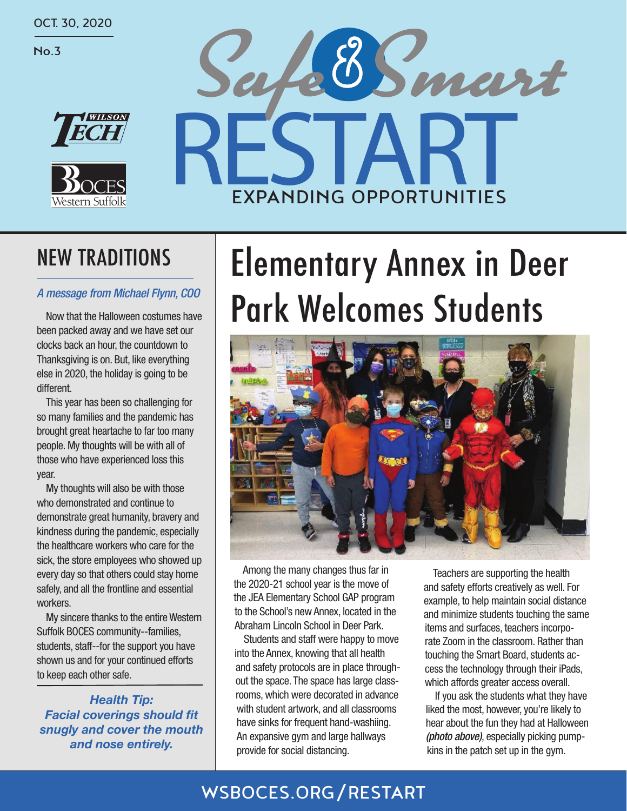OCT. 30, 2020

No.3





# afermant EXPANDING OPPORTUNITIES

## NEW TRADITIONS

Now that the Halloween costumes have been packed away and we have set our clocks back an hour, the countdown to Thanksgiving is on. But, like everything else in 2020, the holiday is going to be different.

This year has been so challenging for so many families and the pandemic has brought great heartache to far too many people. My thoughts will be with all of those who have experienced loss this year.

My thoughts will also be with those who demonstrated and continue to demonstrate great humanity, bravery and kindness during the pandemic, especially the healthcare workers who care for the sick, the store employees who showed up every day so that others could stay home safely, and all the frontline and essential workers.

My sincere thanks to the entire Western Suffolk BOCES community--families, students, staff--for the support you have shown us and for your continued efforts to keep each other safe.

*Health Tip:* **Facial coverings should fit** *snugly and cover the mouth and nose entirely.* 

# Elementary Annex in Deer A message from Michael Flynn, COO **Park Welcomes Students**



Among the many changes thus far in the 2020-21 school year is the move of the JEA Elementary School GAP program to the School's new Annex, located in the Abraham Lincoln School in Deer Park.

Students and staff were happy to move into the Annex, knowing that all health and safety protocols are in place throughout the space. The space has large classrooms, which were decorated in advance with student artwork, and all classrooms have sinks for frequent hand-washiing. An expansive gym and large hallways provide for social distancing.

Teachers are supporting the health and safety efforts creatively as well. For example, to help maintain social distance and minimize students touching the same items and surfaces, teachers incorporate Zoom in the classroom. Rather than touching the Smart Board, students access the technology through their iPads, which affords greater access overall.

If you ask the students what they have liked the most, however, you're likely to hear about the fun they had at Halloween *(photo above)*, especially picking pumpkins in the patch set up in the gym.

### WSBOCES.ORG/RESTART